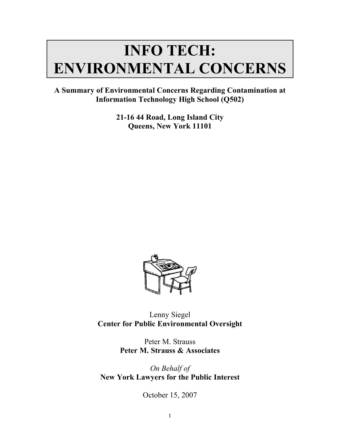# **INFO TECH: ENVIRONMENTAL CONCERNS**

**A Summary of Environmental Concerns Regarding Contamination at Information Technology High School (Q502)**

> **21-16 44 Road, Long Island City Queens, New York 11101**



Lenny Siegel **Center for Public Environmental Oversight**

> Peter M. Strauss **Peter M. Strauss & Associates**

*On Behalf of* **New York Lawyers for the Public Interest**

October 15, 2007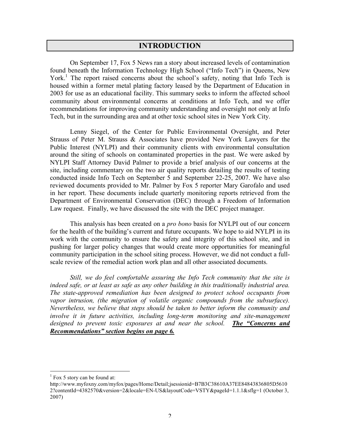# **INTRODUCTION**

On September 17, Fox 5 News ran a story about increased levels of contamination found beneath the Information Technology High School ("Info Tech") in Queens, New York.<sup>1</sup> The report raised concerns about the school's safety, noting that Info Tech is housed within a former metal plating factory leased by the Department of Education in 2003 for use as an educational facility. This summary seeks to inform the affected school community about environmental concerns at conditions at Info Tech, and we offer recommendations for improving community understanding and oversight not only at Info Tech, but in the surrounding area and at other toxic school sites in New York City.

Lenny Siegel, of the Center for Public Environmental Oversight, and Peter Strauss of Peter M. Strauss & Associates have provided New York Lawyers for the Public Interest (NYLPI) and their community clients with environmental consultation around the siting of schools on contaminated properties in the past. We were asked by NYLPI Staff Attorney David Palmer to provide a brief analysis of our concerns at the site, including commentary on the two air quality reports detailing the results of testing conducted inside Info Tech on September 5 and September 22-25, 2007. We have also reviewed documents provided to Mr. Palmer by Fox 5 reporter Mary Garofalo and used in her report. These documents include quarterly monitoring reports retrieved from the Department of Environmental Conservation (DEC) through a Freedom of Information Law request. Finally, we have discussed the site with the DEC project manager.

This analysis has been created on a *pro bono* basis for NYLPI out of our concern for the health of the building's current and future occupants. We hope to aid NYLPI in its work with the community to ensure the safety and integrity of this school site, and in pushing for larger policy changes that would create more opportunities for meaningful community participation in the school siting process. However, we did not conduct a fullscale review of the remedial action work plan and all other associated documents.

*Still, we do feel comfortable assuring the Info Tech community that the site is indeed safe, or at least as safe as any other building in this traditionally industrial area. The state-approved remediation has been designed to protect school occupants from vapor intrusion, (the migration of volatile organic compounds from the subsurface). Nevertheless, we believe that steps should be taken to better inform the community and involve it in future activities, including long-term monitoring and site-management designed to prevent toxic exposures at and near the school. The "Concerns and Recommendations" section begins on page 6.*

 $1$  Fox 5 story can be found at:

http://www.myfoxny.com/myfox/pages/Home/Detail;jsessionid=B7B3C38610A37EE84843836805D5610 2?contentId=4382570&version=2&locale=EN-US&layoutCode=VSTY&pageId=1.1.1&sflg=1 (October 3, 2007)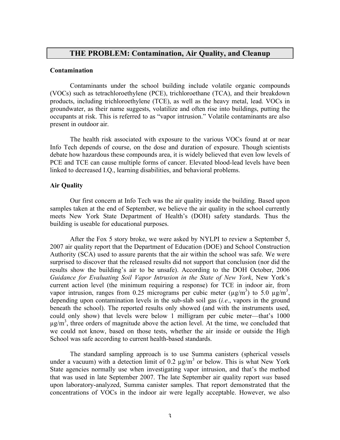# **THE PROBLEM: Contamination, Air Quality, and Cleanup**

### **Contamination**

Contaminants under the school building include volatile organic compounds (VOCs) such as tetrachloroethylene (PCE), trichloroethane (TCA), and their breakdown products, including trichloroethylene (TCE), as well as the heavy metal, lead. VOCs in groundwater, as their name suggests, volatilize and often rise into buildings, putting the occupants at risk. This is referred to as "vapor intrusion." Volatile contaminants are also present in outdoor air.

The health risk associated with exposure to the various VOCs found at or near Info Tech depends of course, on the dose and duration of exposure. Though scientists debate how hazardous these compounds area, it is widely believed that even low levels of PCE and TCE can cause multiple forms of cancer. Elevated blood-lead levels have been linked to decreased I.Q., learning disabilities, and behavioral problems.

### **Air Quality**

Our first concern at Info Tech was the air quality inside the building. Based upon samples taken at the end of September, we believe the air quality in the school currently meets New York State Department of Health's (DOH) safety standards. Thus the building is useable for educational purposes.

After the Fox 5 story broke, we were asked by NYLPI to review a September 5, 2007 air quality report that the Department of Education (DOE) and School Construction Authority (SCA) used to assure parents that the air within the school was safe. We were surprised to discover that the released results did not support that conclusion (nor did the results show the building's air to be unsafe). According to the DOH October, 2006 *Guidance for Evaluating Soil Vapor Intrusion in the State of New York*, New York's current action level (the minimum requiring a response) for TCE in indoor air, from vapor intrusion, ranges from 0.25 micrograms per cubic meter  $(\mu g/m^3)$  to 5.0  $\mu g/m^3$ , depending upon contamination levels in the sub-slab soil gas (*i.e*., vapors in the ground beneath the school). The reported results only showed (and with the instruments used, could only show) that levels were below 1 milligram per cubic meter—that's 1000  $\mu$ g/m<sup>3</sup>, three orders of magnitude above the action level. At the time, we concluded that we could not know, based on those tests, whether the air inside or outside the High School was safe according to current health-based standards.

The standard sampling approach is to use Summa canisters (spherical vessels under a vacuum) with a detection limit of 0.2  $\mu$ g/m<sup>3</sup> or below. This is what New York State agencies normally use when investigating vapor intrusion, and that's the method that was used in late September 2007. The late September air quality report *was* based upon laboratory-analyzed, Summa canister samples. That report demonstrated that the concentrations of VOCs in the indoor air were legally acceptable. However, we also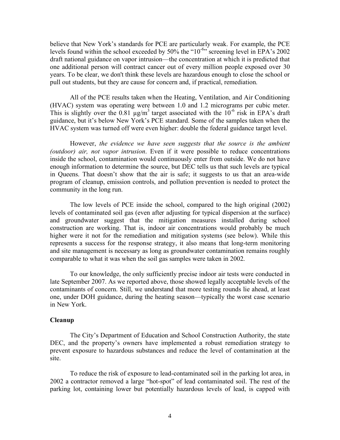believe that New York's standards for PCE are particularly weak. For example, the PCE levels found within the school exceeded by 50% the " $10^{-6}$ " screening level in EPA's 2002 draft national guidance on vapor intrusion—the concentration at which it is predicted that one additional person will contract cancer out of every million people exposed over 30 years. To be clear, we don't think these levels are hazardous enough to close the school or pull out students, but they are cause for concern and, if practical, remediation.

All of the PCE results taken when the Heating, Ventilation, and Air Conditioning (HVAC) system was operating were between 1.0 and 1.2 micrograms per cubic meter. This is slightly over the 0.81  $\mu$ g/m<sup>3</sup> target associated with the 10<sup>-6</sup> risk in EPA's draft guidance, but it's below New York's PCE standard. Some of the samples taken when the HVAC system was turned off were even higher: double the federal guidance target level.

However, *the evidence we have seen suggests that the source is the ambient (outdoor) air, not vapor intrusion*. Even if it were possible to reduce concentrations inside the school, contamination would continuously enter from outside. We do not have enough information to determine the source, but DEC tells us that such levels are typical in Queens. That doesn't show that the air is safe; it suggests to us that an area-wide program of cleanup, emission controls, and pollution prevention is needed to protect the community in the long run.

The low levels of PCE inside the school, compared to the high original (2002) levels of contaminated soil gas (even after adjusting for typical dispersion at the surface) and groundwater suggest that the mitigation measures installed during school construction are working. That is, indoor air concentrations would probably be much higher were it not for the remediation and mitigation systems (see below). While this represents a success for the response strategy, it also means that long-term monitoring and site management is necessary as long as groundwater contamination remains roughly comparable to what it was when the soil gas samples were taken in 2002.

To our knowledge, the only sufficiently precise indoor air tests were conducted in late September 2007. As we reported above, those showed legally acceptable levels of the contaminants of concern. Still, we understand that more testing rounds lie ahead, at least one, under DOH guidance, during the heating season—typically the worst case scenario in New York.

#### **Cleanup**

The City's Department of Education and School Construction Authority, the state DEC, and the property's owners have implemented a robust remediation strategy to prevent exposure to hazardous substances and reduce the level of contamination at the site.

To reduce the risk of exposure to lead-contaminated soil in the parking lot area, in 2002 a contractor removed a large "hot-spot" of lead contaminated soil. The rest of the parking lot, containing lower but potentially hazardous levels of lead, is capped with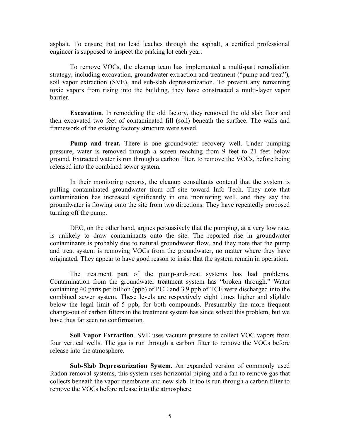asphalt. To ensure that no lead leaches through the asphalt, a certified professional engineer is supposed to inspect the parking lot each year.

To remove VOCs, the cleanup team has implemented a multi-part remediation strategy, including excavation, groundwater extraction and treatment ("pump and treat"), soil vapor extraction (SVE), and sub-slab depressurization. To prevent any remaining toxic vapors from rising into the building, they have constructed a multi-layer vapor barrier.

**Excavation**. In remodeling the old factory, they removed the old slab floor and then excavated two feet of contaminated fill (soil) beneath the surface. The walls and framework of the existing factory structure were saved.

**Pump and treat.** There is one groundwater recovery well. Under pumping pressure, water is removed through a screen reaching from 9 feet to 21 feet below ground. Extracted water is run through a carbon filter, to remove the VOCs, before being released into the combined sewer system.

In their monitoring reports, the cleanup consultants contend that the system is pulling contaminated groundwater from off site toward Info Tech. They note that contamination has increased significantly in one monitoring well, and they say the groundwater is flowing onto the site from two directions. They have repeatedly proposed turning off the pump.

DEC, on the other hand, argues persuasively that the pumping, at a very low rate, is unlikely to draw contaminants onto the site. The reported rise in groundwater contaminants is probably due to natural groundwater flow, and they note that the pump and treat system is removing VOCs from the groundwater, no matter where they have originated. They appear to have good reason to insist that the system remain in operation.

The treatment part of the pump-and-treat systems has had problems. Contamination from the groundwater treatment system has "broken through." Water containing 40 parts per billion (ppb) of PCE and 3.9 ppb of TCE were discharged into the combined sewer system. These levels are respectively eight times higher and slightly below the legal limit of 5 ppb, for both compounds. Presumably the more frequent change-out of carbon filters in the treatment system has since solved this problem, but we have thus far seen no confirmation.

**Soil Vapor Extraction**. SVE uses vacuum pressure to collect VOC vapors from four vertical wells. The gas is run through a carbon filter to remove the VOCs before release into the atmosphere.

**Sub-Slab Depressurization System**. An expanded version of commonly used Radon removal systems, this system uses horizontal piping and a fan to remove gas that collects beneath the vapor membrane and new slab. It too is run through a carbon filter to remove the VOCs before release into the atmosphere.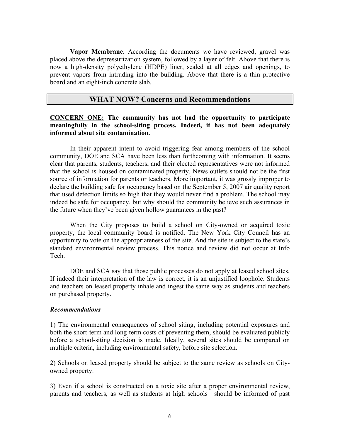**Vapor Membrane**. According the documents we have reviewed, gravel was placed above the depressurization system, followed by a layer of felt. Above that there is now a high-density polyethylene (HDPE) liner, sealed at all edges and openings, to prevent vapors from intruding into the building. Above that there is a thin protective board and an eight-inch concrete slab.

# **WHAT NOW? Concerns and Recommendations**

## **CONCERN ONE: The community has not had the opportunity to participate meaningfully in the school-siting process. Indeed, it has not been adequately informed about site contamination.**

In their apparent intent to avoid triggering fear among members of the school community, DOE and SCA have been less than forthcoming with information. It seems clear that parents, students, teachers, and their elected representatives were not informed that the school is housed on contaminated property. News outlets should not be the first source of information for parents or teachers. More important, it was grossly improper to declare the building safe for occupancy based on the September 5, 2007 air quality report that used detection limits so high that they would never find a problem. The school may indeed be safe for occupancy, but why should the community believe such assurances in the future when they've been given hollow guarantees in the past?

When the City proposes to build a school on City-owned or acquired toxic property, the local community board is notified. The New York City Council has an opportunity to vote on the appropriateness of the site. And the site is subject to the state's standard environmental review process. This notice and review did not occur at Info Tech.

DOE and SCA say that those public processes do not apply at leased school sites. If indeed their interpretation of the law is correct, it is an unjustified loophole. Students and teachers on leased property inhale and ingest the same way as students and teachers on purchased property.

## *Recommendations*

1) The environmental consequences of school siting, including potential exposures and both the short-term and long-term costs of preventing them, should be evaluated publicly before a school-siting decision is made. Ideally, several sites should be compared on multiple criteria, including environmental safety, before site selection.

2) Schools on leased property should be subject to the same review as schools on Cityowned property.

3) Even if a school is constructed on a toxic site after a proper environmental review, parents and teachers, as well as students at high schools—should be informed of past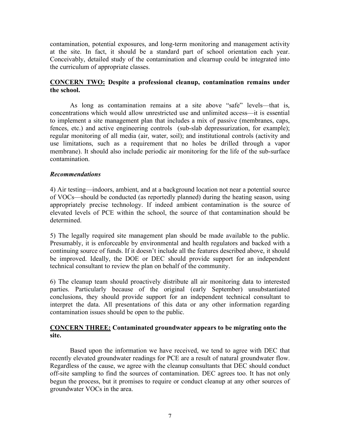contamination, potential exposures, and long-term monitoring and management activity at the site. In fact, it should be a standard part of school orientation each year. Conceivably, detailed study of the contamination and clearnup could be integrated into the curriculum of appropriate classes.

# **CONCERN TWO: Despite a professional cleanup, contamination remains under the school.**

As long as contamination remains at a site above "safe" levels—that is, concentrations which would allow unrestricted use and unlimited access—it is essential to implement a site management plan that includes a mix of passive (membranes, caps, fences, etc.) and active engineering controls (sub-slab depressurization, for example); regular monitoring of all media (air, water, soil); and institutional controls (activity and use limitations, such as a requirement that no holes be drilled through a vapor membrane). It should also include periodic air monitoring for the life of the sub-surface contamination.

# *Recommendations*

4) Air testing—indoors, ambient, and at a background location not near a potential source of VOCs—should be conducted (as reportedly planned) during the heating season, using appropriately precise technology. If indeed ambient contamination is the source of elevated levels of PCE within the school, the source of that contamination should be determined.

5) The legally required site management plan should be made available to the public. Presumably, it is enforceable by environmental and health regulators and backed with a continuing source of funds. If it doesn't include all the features described above, it should be improved. Ideally, the DOE or DEC should provide support for an independent technical consultant to review the plan on behalf of the community.

6) The cleanup team should proactively distribute all air monitoring data to interested parties. Particularly because of the original (early September) unsubstantiated conclusions, they should provide support for an independent technical consultant to interpret the data. All presentations of this data or any other information regarding contamination issues should be open to the public.

# **CONCERN THREE: Contaminated groundwater appears to be migrating onto the site.**

Based upon the information we have received, we tend to agree with DEC that recently elevated groundwater readings for PCE are a result of natural groundwater flow. Regardless of the cause, we agree with the cleanup consultants that DEC should conduct off-site sampling to find the sources of contamination. DEC agrees too. It has not only begun the process, but it promises to require or conduct cleanup at any other sources of groundwater VOCs in the area.